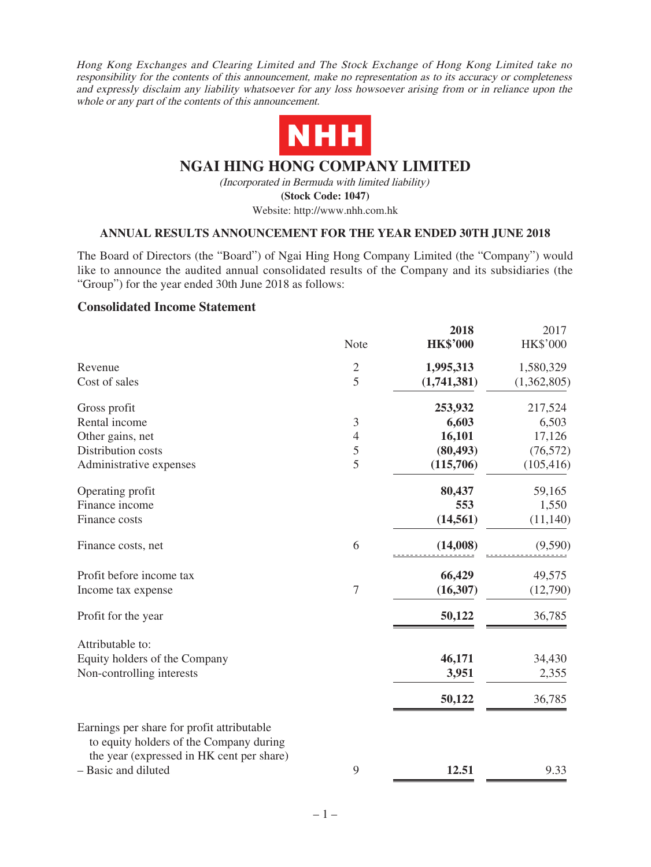Hong Kong Exchanges and Clearing Limited and The Stock Exchange of Hong Kong Limited take no responsibility for the contents of this announcement, make no representation as to its accuracy or completeness and expressly disclaim any liability whatsoever for any loss howsoever arising from or in reliance upon the whole or any part of the contents of this announcement.



# **NGAI HING HONG COMPANY LIMITED**

(Incorporated in Bermuda with limited liability) **(Stock Code: 1047)** Website: http://www.nhh.com.hk

### **ANNUAL RESULTS ANNOUNCEMENT FOR THE YEAR ENDED 30TH JUNE 2018**

The Board of Directors (the "Board") of Ngai Hing Hong Company Limited (the "Company") would like to announce the audited annual consolidated results of the Company and its subsidiaries (the "Group") for the year ended 30th June 2018 as follows:

### **Consolidated Income Statement**

|                                                                                                                                    |                | 2018            | 2017            |
|------------------------------------------------------------------------------------------------------------------------------------|----------------|-----------------|-----------------|
|                                                                                                                                    | Note           | <b>HK\$'000</b> | <b>HK\$'000</b> |
| Revenue                                                                                                                            | $\overline{c}$ | 1,995,313       | 1,580,329       |
| Cost of sales                                                                                                                      | $\overline{5}$ | (1,741,381)     | (1,362,805)     |
| Gross profit                                                                                                                       |                | 253,932         | 217,524         |
| Rental income                                                                                                                      | 3              | 6,603           | 6,503           |
| Other gains, net                                                                                                                   | $\overline{4}$ | 16,101          | 17,126          |
| Distribution costs                                                                                                                 | 5              | (80, 493)       | (76, 572)       |
| Administrative expenses                                                                                                            | 5              | (115,706)       | (105, 416)      |
| Operating profit                                                                                                                   |                | 80,437          | 59,165          |
| Finance income                                                                                                                     |                | 553             | 1,550           |
| Finance costs                                                                                                                      |                | (14, 561)       | (11, 140)       |
| Finance costs, net                                                                                                                 | 6              | (14,008)        | (9,590)         |
| Profit before income tax                                                                                                           |                | 66,429          | 49,575          |
| Income tax expense                                                                                                                 | $\overline{7}$ | (16, 307)       | (12,790)        |
| Profit for the year                                                                                                                |                | 50,122          | 36,785          |
| Attributable to:                                                                                                                   |                |                 |                 |
| Equity holders of the Company                                                                                                      |                | 46,171          | 34,430          |
| Non-controlling interests                                                                                                          |                | 3,951           | 2,355           |
|                                                                                                                                    |                | 50,122          | 36,785          |
| Earnings per share for profit attributable<br>to equity holders of the Company during<br>the year (expressed in HK cent per share) |                |                 |                 |
| - Basic and diluted                                                                                                                | 9              | 12.51           | 9.33            |
|                                                                                                                                    |                |                 |                 |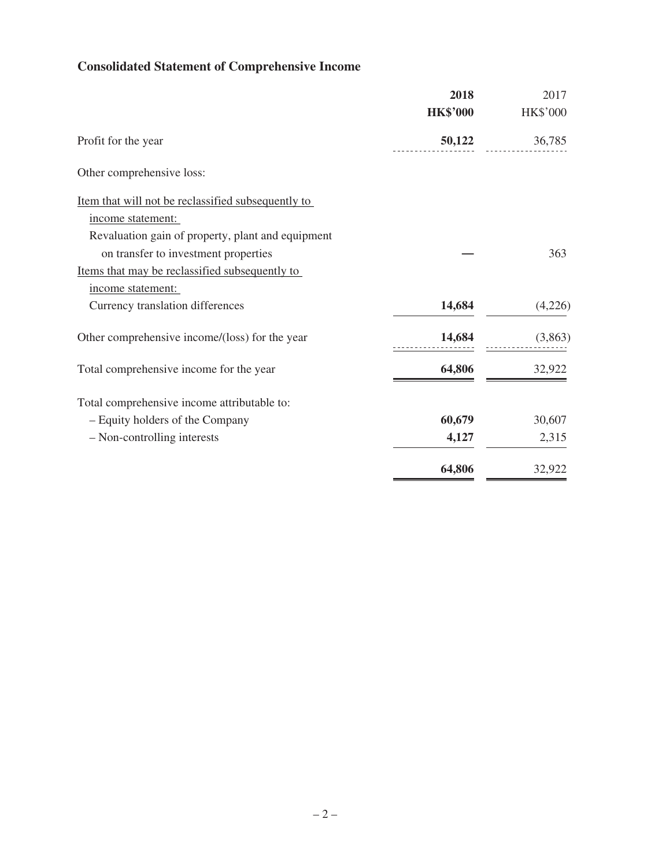# **Consolidated Statement of Comprehensive Income**

|                                                    | 2018            | 2017            |
|----------------------------------------------------|-----------------|-----------------|
|                                                    | <b>HK\$'000</b> | <b>HK\$'000</b> |
| Profit for the year                                | 50,122          | 36,785          |
| Other comprehensive loss:                          |                 |                 |
| Item that will not be reclassified subsequently to |                 |                 |
| income statement:                                  |                 |                 |
| Revaluation gain of property, plant and equipment  |                 |                 |
| on transfer to investment properties               |                 | 363             |
| Items that may be reclassified subsequently to     |                 |                 |
| income statement:                                  |                 |                 |
| Currency translation differences                   | 14,684          | (4,226)         |
| Other comprehensive income/(loss) for the year     | 14,684          | (3,863)         |
| Total comprehensive income for the year            | 64,806          | 32,922          |
| Total comprehensive income attributable to:        |                 |                 |
| - Equity holders of the Company                    | 60,679          | 30,607          |
| - Non-controlling interests                        | 4,127           | 2,315           |
|                                                    | 64,806          | 32,922          |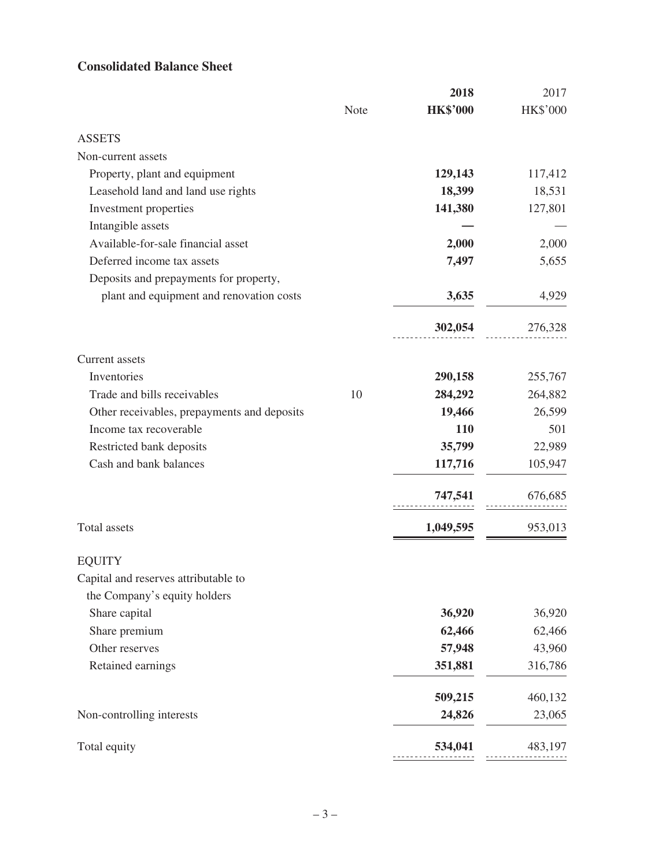# **Consolidated Balance Sheet**

|                                             |      | 2018            | 2017     |
|---------------------------------------------|------|-----------------|----------|
|                                             | Note | <b>HK\$'000</b> | HK\$'000 |
| <b>ASSETS</b>                               |      |                 |          |
| Non-current assets                          |      |                 |          |
| Property, plant and equipment               |      | 129,143         | 117,412  |
| Leasehold land and land use rights          |      | 18,399          | 18,531   |
| Investment properties                       |      | 141,380         | 127,801  |
| Intangible assets                           |      |                 |          |
| Available-for-sale financial asset          |      | 2,000           | 2,000    |
| Deferred income tax assets                  |      | 7,497           | 5,655    |
| Deposits and prepayments for property,      |      |                 |          |
| plant and equipment and renovation costs    |      | 3,635           | 4,929    |
|                                             |      | 302,054         | 276,328  |
| <b>Current</b> assets                       |      |                 |          |
| Inventories                                 |      | 290,158         | 255,767  |
| Trade and bills receivables                 | 10   | 284,292         | 264,882  |
| Other receivables, prepayments and deposits |      | 19,466          | 26,599   |
| Income tax recoverable                      |      | 110             | 501      |
| Restricted bank deposits                    |      | 35,799          | 22,989   |
| Cash and bank balances                      |      | 117,716         | 105,947  |
|                                             |      | 747,541         | 676,685  |
| <b>Total assets</b>                         |      | 1,049,595       | 953,013  |
| <b>EQUITY</b>                               |      |                 |          |
| Capital and reserves attributable to        |      |                 |          |
| the Company's equity holders                |      |                 |          |
| Share capital                               |      | 36,920          | 36,920   |
| Share premium                               |      | 62,466          | 62,466   |
| Other reserves                              |      | 57,948          | 43,960   |
| Retained earnings                           |      | 351,881         | 316,786  |
|                                             |      | 509,215         | 460,132  |
| Non-controlling interests                   |      | 24,826          | 23,065   |
| Total equity                                |      | 534,041         | 483,197  |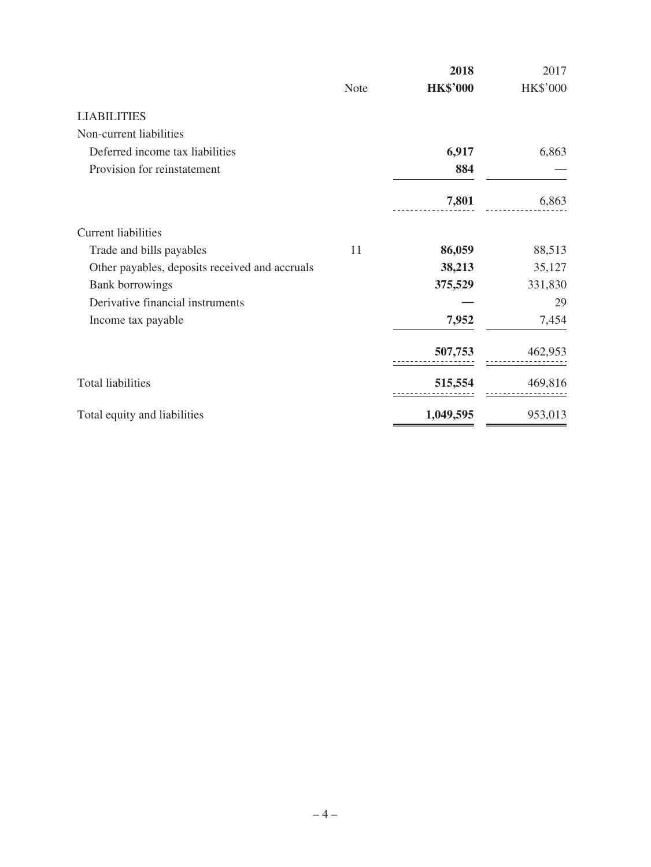|                                                |      | 2018            | 2017            |
|------------------------------------------------|------|-----------------|-----------------|
|                                                | Note | <b>HK\$'000</b> | <b>HK\$'000</b> |
| <b>LIABILITIES</b>                             |      |                 |                 |
| Non-current liabilities                        |      |                 |                 |
| Deferred income tax liabilities                |      | 6,917           | 6,863           |
| Provision for reinstatement                    |      | 884             |                 |
|                                                |      | 7,801           | 6,863           |
| <b>Current liabilities</b>                     |      |                 |                 |
| Trade and bills payables                       | 11   | 86,059          | 88,513          |
| Other payables, deposits received and accruals |      | 38,213          | 35,127          |
| <b>Bank borrowings</b>                         |      | 375,529         | 331,830         |
| Derivative financial instruments               |      |                 | 29              |
| Income tax payable                             |      | 7,952           | 7,454           |
|                                                |      | 507,753         | 462,953         |
| <b>Total liabilities</b>                       |      | 515,554         | 469,816         |
| Total equity and liabilities                   |      | 1,049,595       | 953,013         |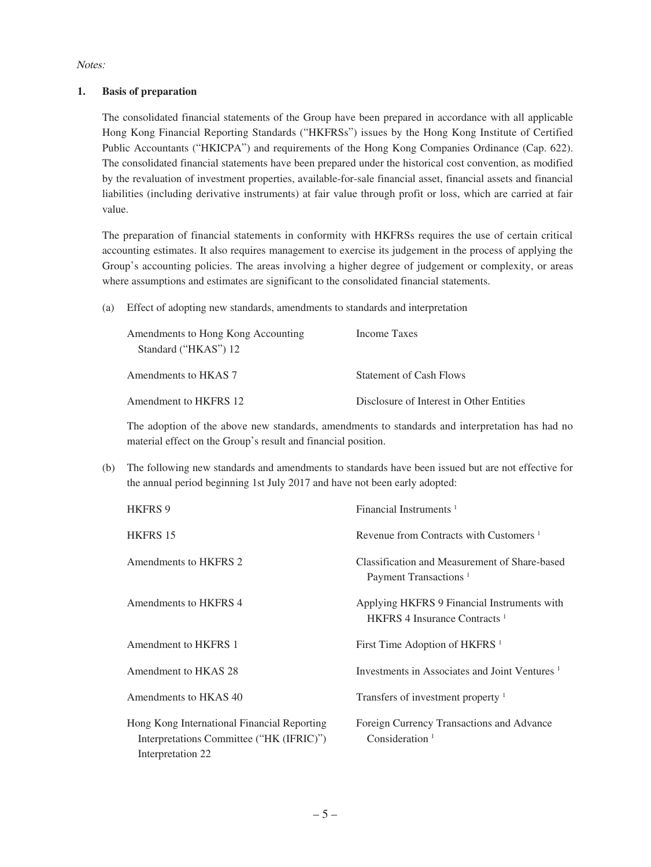Notes:

### **1. Basis of preparation**

The consolidated financial statements of the Group have been prepared in accordance with all applicable Hong Kong Financial Reporting Standards ("HKFRSs") issues by the Hong Kong Institute of Certified Public Accountants ("HKICPA") and requirements of the Hong Kong Companies Ordinance (Cap. 622). The consolidated financial statements have been prepared under the historical cost convention, as modified by the revaluation of investment properties, available-for-sale financial asset, financial assets and financial liabilities (including derivative instruments) at fair value through profit or loss, which are carried at fair value.

The preparation of financial statements in conformity with HKFRSs requires the use of certain critical accounting estimates. It also requires management to exercise its judgement in the process of applying the Group's accounting policies. The areas involving a higher degree of judgement or complexity, or areas where assumptions and estimates are significant to the consolidated financial statements.

(a) Effect of adopting new standards, amendments to standards and interpretation

| Amendments to Hong Kong Accounting<br>Standard ("HKAS") 12 | Income Taxes                             |
|------------------------------------------------------------|------------------------------------------|
| Amendments to HKAS 7                                       | <b>Statement of Cash Flows</b>           |
| Amendment to HKFRS 12                                      | Disclosure of Interest in Other Entities |

The adoption of the above new standards, amendments to standards and interpretation has had no material effect on the Group's result and financial position.

(b) The following new standards and amendments to standards have been issued but are not effective for the annual period beginning 1st July 2017 and have not been early adopted:

| <b>HKFRS 9</b>                                                                                               | Financial Instruments $1$                                                               |
|--------------------------------------------------------------------------------------------------------------|-----------------------------------------------------------------------------------------|
| <b>HKFRS 15</b>                                                                                              | Revenue from Contracts with Customers <sup>1</sup>                                      |
| Amendments to HKFRS 2                                                                                        | Classification and Measurement of Share-based<br>Payment Transactions <sup>1</sup>      |
| Amendments to HKFRS 4                                                                                        | Applying HKFRS 9 Financial Instruments with<br>HKFRS 4 Insurance Contracts <sup>1</sup> |
| Amendment to HKFRS 1                                                                                         | First Time Adoption of HKFRS <sup>1</sup>                                               |
| Amendment to HKAS 28                                                                                         | Investments in Associates and Joint Ventures <sup>1</sup>                               |
| Amendments to HKAS 40                                                                                        | Transfers of investment property <sup>1</sup>                                           |
| Hong Kong International Financial Reporting<br>Interpretations Committee ("HK (IFRIC)")<br>Interpretation 22 | Foreign Currency Transactions and Advance<br>Consideration <sup>1</sup>                 |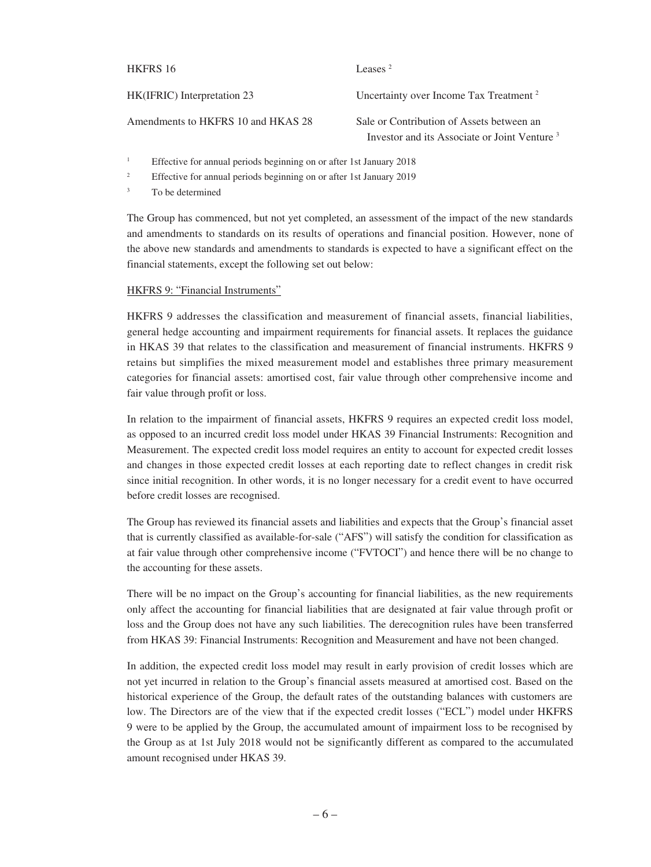| HKFRS 16                           | Leases $2$                                                                                            |
|------------------------------------|-------------------------------------------------------------------------------------------------------|
| HK(IFRIC) Interpretation 23        | Uncertainty over Income Tax Treatment <sup>2</sup>                                                    |
| Amendments to HKFRS 10 and HKAS 28 | Sale or Contribution of Assets between an<br>Investor and its Associate or Joint Venture <sup>3</sup> |

<sup>1</sup> Effective for annual periods beginning on or after 1st January 2018

<sup>2</sup> Effective for annual periods beginning on or after 1st January 2019

<sup>3</sup> To be determined

The Group has commenced, but not yet completed, an assessment of the impact of the new standards and amendments to standards on its results of operations and financial position. However, none of the above new standards and amendments to standards is expected to have a significant effect on the financial statements, except the following set out below:

#### HKFRS 9: "Financial Instruments"

HKFRS 9 addresses the classification and measurement of financial assets, financial liabilities, general hedge accounting and impairment requirements for financial assets. It replaces the guidance in HKAS 39 that relates to the classification and measurement of financial instruments. HKFRS 9 retains but simplifies the mixed measurement model and establishes three primary measurement categories for financial assets: amortised cost, fair value through other comprehensive income and fair value through profit or loss.

In relation to the impairment of financial assets, HKFRS 9 requires an expected credit loss model, as opposed to an incurred credit loss model under HKAS 39 Financial Instruments: Recognition and Measurement. The expected credit loss model requires an entity to account for expected credit losses and changes in those expected credit losses at each reporting date to reflect changes in credit risk since initial recognition. In other words, it is no longer necessary for a credit event to have occurred before credit losses are recognised.

The Group has reviewed its financial assets and liabilities and expects that the Group's financial asset that is currently classified as available-for-sale ("AFS") will satisfy the condition for classification as at fair value through other comprehensive income ("FVTOCI") and hence there will be no change to the accounting for these assets.

There will be no impact on the Group's accounting for financial liabilities, as the new requirements only affect the accounting for financial liabilities that are designated at fair value through profit or loss and the Group does not have any such liabilities. The derecognition rules have been transferred from HKAS 39: Financial Instruments: Recognition and Measurement and have not been changed.

In addition, the expected credit loss model may result in early provision of credit losses which are not yet incurred in relation to the Group's financial assets measured at amortised cost. Based on the historical experience of the Group, the default rates of the outstanding balances with customers are low. The Directors are of the view that if the expected credit losses ("ECL") model under HKFRS 9 were to be applied by the Group, the accumulated amount of impairment loss to be recognised by the Group as at 1st July 2018 would not be significantly different as compared to the accumulated amount recognised under HKAS 39.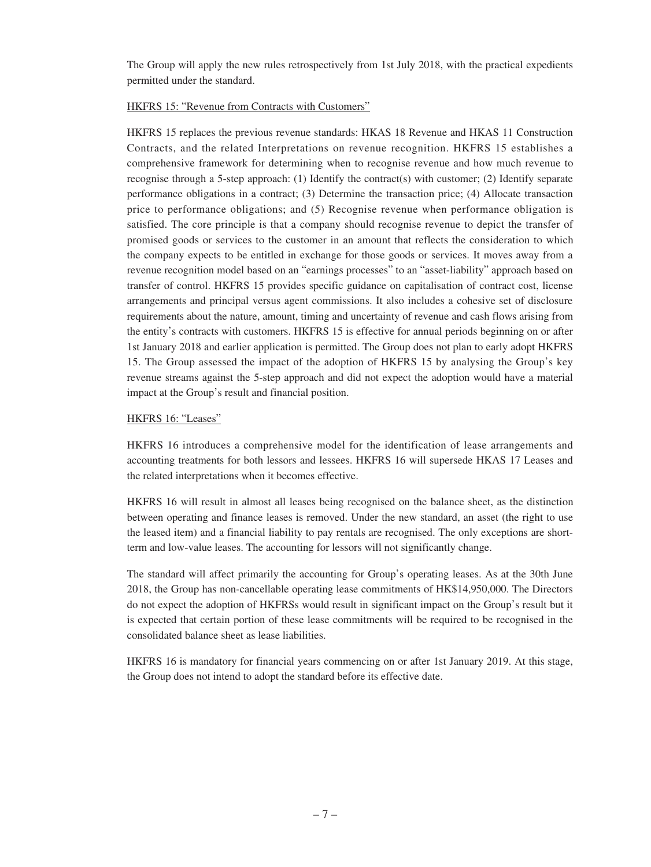The Group will apply the new rules retrospectively from 1st July 2018, with the practical expedients permitted under the standard.

### HKFRS 15: "Revenue from Contracts with Customers"

HKFRS 15 replaces the previous revenue standards: HKAS 18 Revenue and HKAS 11 Construction Contracts, and the related Interpretations on revenue recognition. HKFRS 15 establishes a comprehensive framework for determining when to recognise revenue and how much revenue to recognise through a 5-step approach: (1) Identify the contract(s) with customer; (2) Identify separate performance obligations in a contract; (3) Determine the transaction price; (4) Allocate transaction price to performance obligations; and (5) Recognise revenue when performance obligation is satisfied. The core principle is that a company should recognise revenue to depict the transfer of promised goods or services to the customer in an amount that reflects the consideration to which the company expects to be entitled in exchange for those goods or services. It moves away from a revenue recognition model based on an "earnings processes" to an "asset-liability" approach based on transfer of control. HKFRS 15 provides specific guidance on capitalisation of contract cost, license arrangements and principal versus agent commissions. It also includes a cohesive set of disclosure requirements about the nature, amount, timing and uncertainty of revenue and cash flows arising from the entity's contracts with customers. HKFRS 15 is effective for annual periods beginning on or after 1st January 2018 and earlier application is permitted. The Group does not plan to early adopt HKFRS 15. The Group assessed the impact of the adoption of HKFRS 15 by analysing the Group's key revenue streams against the 5-step approach and did not expect the adoption would have a material impact at the Group's result and financial position.

#### HKFRS 16: "Leases"

HKFRS 16 introduces a comprehensive model for the identification of lease arrangements and accounting treatments for both lessors and lessees. HKFRS 16 will supersede HKAS 17 Leases and the related interpretations when it becomes effective.

HKFRS 16 will result in almost all leases being recognised on the balance sheet, as the distinction between operating and finance leases is removed. Under the new standard, an asset (the right to use the leased item) and a financial liability to pay rentals are recognised. The only exceptions are shortterm and low-value leases. The accounting for lessors will not significantly change.

The standard will affect primarily the accounting for Group's operating leases. As at the 30th June 2018, the Group has non-cancellable operating lease commitments of HK\$14,950,000. The Directors do not expect the adoption of HKFRSs would result in significant impact on the Group's result but it is expected that certain portion of these lease commitments will be required to be recognised in the consolidated balance sheet as lease liabilities.

HKFRS 16 is mandatory for financial years commencing on or after 1st January 2019. At this stage, the Group does not intend to adopt the standard before its effective date.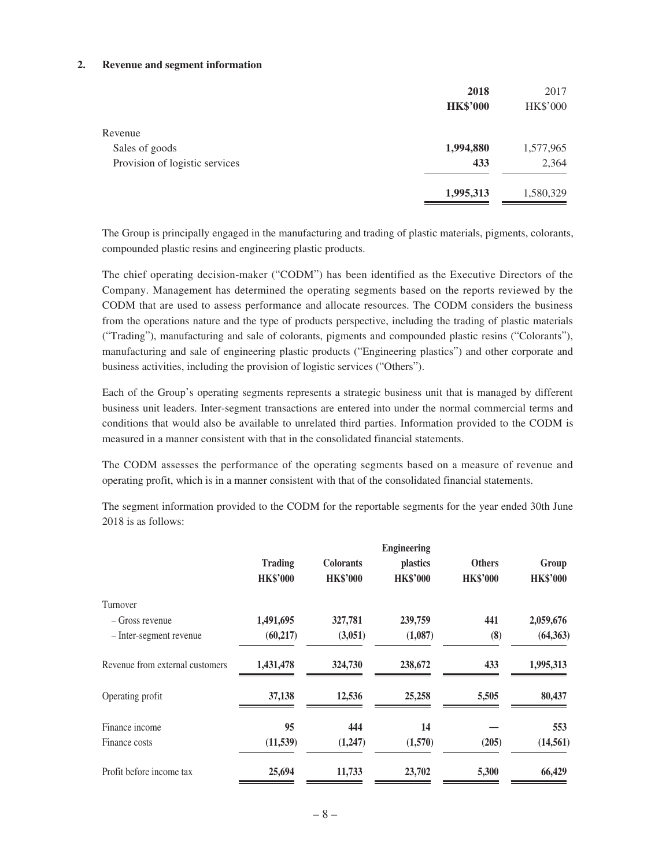#### **2. Revenue and segment information**

|                                | 2018            | 2017            |
|--------------------------------|-----------------|-----------------|
|                                | <b>HK\$'000</b> | <b>HK\$'000</b> |
| Revenue                        |                 |                 |
| Sales of goods                 | 1,994,880       | 1,577,965       |
| Provision of logistic services | 433             | 2,364           |
|                                | 1,995,313       | 1,580,329       |

The Group is principally engaged in the manufacturing and trading of plastic materials, pigments, colorants, compounded plastic resins and engineering plastic products.

The chief operating decision-maker ("CODM") has been identified as the Executive Directors of the Company. Management has determined the operating segments based on the reports reviewed by the CODM that are used to assess performance and allocate resources. The CODM considers the business from the operations nature and the type of products perspective, including the trading of plastic materials ("Trading"), manufacturing and sale of colorants, pigments and compounded plastic resins ("Colorants"), manufacturing and sale of engineering plastic products ("Engineering plastics") and other corporate and business activities, including the provision of logistic services ("Others").

Each of the Group's operating segments represents a strategic business unit that is managed by different business unit leaders. Inter-segment transactions are entered into under the normal commercial terms and conditions that would also be available to unrelated third parties. Information provided to the CODM is measured in a manner consistent with that in the consolidated financial statements.

The CODM assesses the performance of the operating segments based on a measure of revenue and operating profit, which is in a manner consistent with that of the consolidated financial statements.

The segment information provided to the CODM for the reportable segments for the year ended 30th June 2018 is as follows:

|                                 | <b>Engineering</b> |                  |                 |                 |                 |  |
|---------------------------------|--------------------|------------------|-----------------|-----------------|-----------------|--|
|                                 | <b>Trading</b>     | <b>Colorants</b> | <i>plastics</i> | <b>Others</b>   | Group           |  |
|                                 | <b>HK\$'000</b>    | <b>HK\$'000</b>  | <b>HK\$'000</b> | <b>HK\$'000</b> | <b>HK\$'000</b> |  |
| Turnover                        |                    |                  |                 |                 |                 |  |
| – Gross revenue                 | 1,491,695          | 327,781          | 239,759         | 441             | 2,059,676       |  |
| - Inter-segment revenue         | (60, 217)          | (3,051)          | (1,087)         | (8)             | (64, 363)       |  |
| Revenue from external customers | 1,431,478          | 324,730          | 238,672         | 433             | 1,995,313       |  |
| Operating profit                | 37,138             | 12,536           | 25,258          | 5,505           | 80,437          |  |
| Finance income                  | 95                 | 444              | 14              |                 | 553             |  |
| Finance costs                   | (11, 539)          | (1,247)          | (1,570)         | (205)           | (14, 561)       |  |
| Profit before income tax        | 25,694             | 11,733           | 23,702          | 5,300           | 66,429          |  |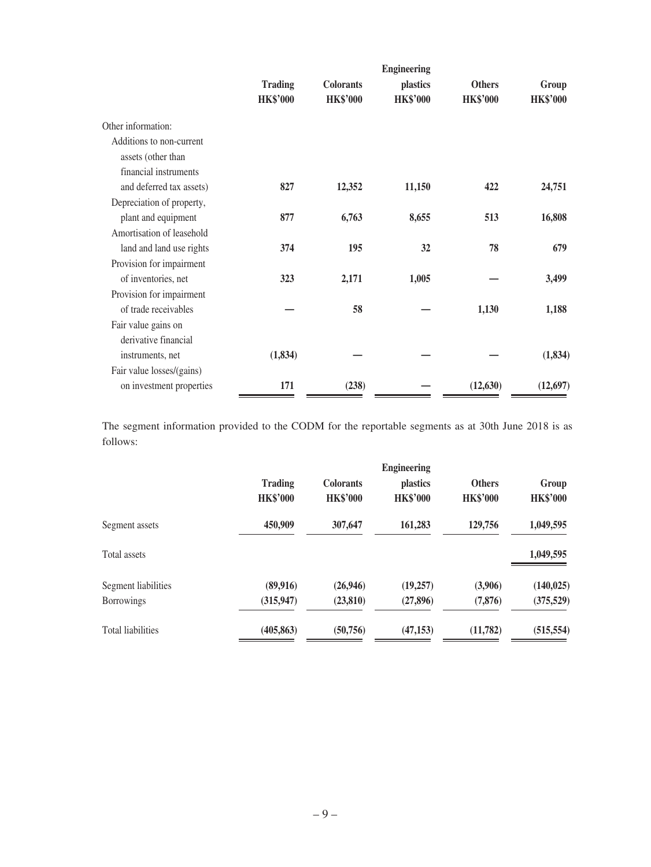|                           | <b>Engineering</b> |                  |                 |                 |                 |  |
|---------------------------|--------------------|------------------|-----------------|-----------------|-----------------|--|
|                           | <b>Trading</b>     | <b>Colorants</b> | plastics        | <b>Others</b>   | Group           |  |
|                           | <b>HK\$'000</b>    | <b>HK\$'000</b>  | <b>HK\$'000</b> | <b>HK\$'000</b> | <b>HK\$'000</b> |  |
| Other information:        |                    |                  |                 |                 |                 |  |
| Additions to non-current  |                    |                  |                 |                 |                 |  |
| assets (other than        |                    |                  |                 |                 |                 |  |
| financial instruments     |                    |                  |                 |                 |                 |  |
| and deferred tax assets)  | 827                | 12,352           | 11,150          | 422             | 24,751          |  |
| Depreciation of property, |                    |                  |                 |                 |                 |  |
| plant and equipment       | 877                | 6,763            | 8,655           | 513             | 16,808          |  |
| Amortisation of leasehold |                    |                  |                 |                 |                 |  |
| land and land use rights  | 374                | 195              | 32              | 78              | 679             |  |
| Provision for impairment  |                    |                  |                 |                 |                 |  |
| of inventories, net       | 323                | 2,171            | 1,005           |                 | 3,499           |  |
| Provision for impairment  |                    |                  |                 |                 |                 |  |
| of trade receivables      |                    | 58               |                 | 1,130           | 1,188           |  |
| Fair value gains on       |                    |                  |                 |                 |                 |  |
| derivative financial      |                    |                  |                 |                 |                 |  |
| instruments, net          | (1, 834)           |                  |                 |                 | (1, 834)        |  |
| Fair value losses/(gains) |                    |                  |                 |                 |                 |  |
| on investment properties  | 171                | (238)            |                 | (12, 630)       | (12,697)        |  |
|                           |                    |                  |                 |                 |                 |  |

The segment information provided to the CODM for the reportable segments as at 30th June 2018 is as follows:

|                          |                                   |                                     | <b>Engineering</b>                 |                                  |                          |
|--------------------------|-----------------------------------|-------------------------------------|------------------------------------|----------------------------------|--------------------------|
|                          | <b>Trading</b><br><b>HK\$'000</b> | <b>Colorants</b><br><b>HK\$'000</b> | <i>plastics</i><br><b>HK\$'000</b> | <b>Others</b><br><b>HK\$'000</b> | Group<br><b>HK\$'000</b> |
| Segment assets           | 450,909                           | 307,647                             | 161,283                            | 129,756                          | 1,049,595                |
| Total assets             |                                   |                                     |                                    |                                  | 1,049,595                |
| Segment liabilities      | (89,916)                          | (26,946)                            | (19,257)                           | (3,906)                          | (140, 025)               |
| <b>Borrowings</b>        | (315, 947)                        | (23, 810)                           | (27, 896)                          | (7, 876)                         | (375, 529)               |
| <b>Total liabilities</b> | (405, 863)                        | (50, 756)                           | (47, 153)                          | (11, 782)                        | (515, 554)               |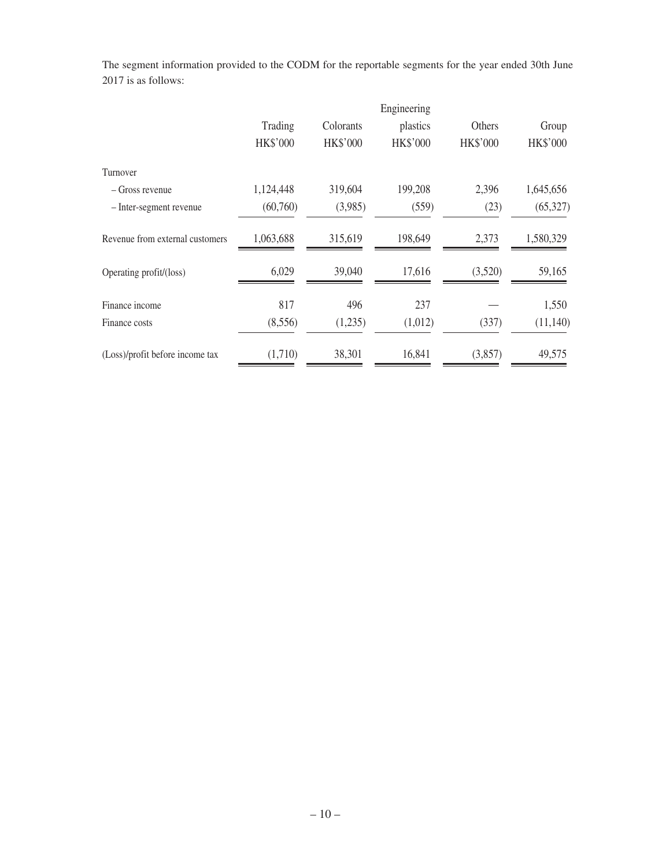|                                 | Engineering |           |          |          |           |
|---------------------------------|-------------|-----------|----------|----------|-----------|
|                                 | Trading     | Colorants | plastics | Others   | Group     |
|                                 | HK\$'000    | HK\$'000  | HK\$'000 | HK\$'000 | HK\$'000  |
| Turnover                        |             |           |          |          |           |
| $-$ Gross revenue               | 1,124,448   | 319,604   | 199,208  | 2,396    | 1,645,656 |
| - Inter-segment revenue         | (60,760)    | (3,985)   | (559)    | (23)     | (65, 327) |
| Revenue from external customers | 1,063,688   | 315,619   | 198,649  | 2,373    | 1,580,329 |
| Operating profit/(loss)         | 6,029       | 39,040    | 17,616   | (3,520)  | 59,165    |
| Finance income                  | 817         | 496       | 237      |          | 1,550     |
| Finance costs                   | (8,556)     | (1,235)   | (1,012)  | (337)    | (11, 140) |
| (Loss)/profit before income tax | (1,710)     | 38,301    | 16,841   | (3,857)  | 49,575    |

The segment information provided to the CODM for the reportable segments for the year ended 30th June 2017 is as follows: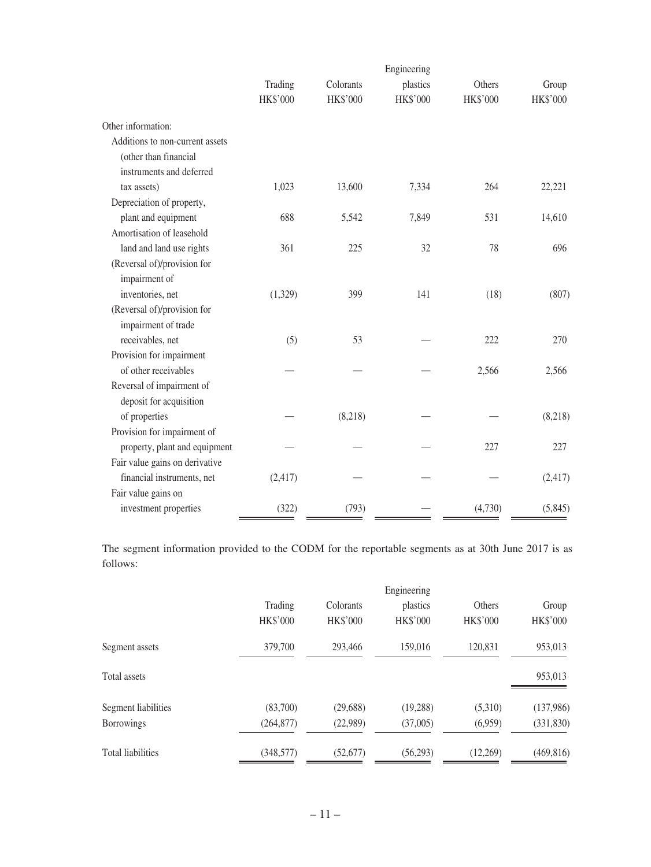|                                 | Engineering         |                       |                      |                    |                   |
|---------------------------------|---------------------|-----------------------|----------------------|--------------------|-------------------|
|                                 | Trading<br>HK\$'000 | Colorants<br>HK\$'000 | plastics<br>HK\$'000 | Others<br>HK\$'000 | Group<br>HK\$'000 |
| Other information:              |                     |                       |                      |                    |                   |
| Additions to non-current assets |                     |                       |                      |                    |                   |
| (other than financial           |                     |                       |                      |                    |                   |
| instruments and deferred        |                     |                       |                      |                    |                   |
| tax assets)                     | 1,023               | 13,600                | 7,334                | 264                | 22,221            |
| Depreciation of property,       |                     |                       |                      |                    |                   |
| plant and equipment             | 688                 | 5,542                 | 7,849                | 531                | 14,610            |
| Amortisation of leasehold       |                     |                       |                      |                    |                   |
| land and land use rights        | 361                 | 225                   | 32                   | 78                 | 696               |
| (Reversal of)/provision for     |                     |                       |                      |                    |                   |
| impairment of                   |                     |                       |                      |                    |                   |
| inventories, net                | (1,329)             | 399                   | 141                  | (18)               | (807)             |
| (Reversal of)/provision for     |                     |                       |                      |                    |                   |
| impairment of trade             |                     |                       |                      |                    |                   |
| receivables, net                | (5)                 | 53                    |                      | 222                | 270               |
| Provision for impairment        |                     |                       |                      |                    |                   |
| of other receivables            |                     |                       |                      | 2,566              | 2,566             |
| Reversal of impairment of       |                     |                       |                      |                    |                   |
| deposit for acquisition         |                     |                       |                      |                    |                   |
| of properties                   |                     | (8,218)               |                      |                    | (8,218)           |
| Provision for impairment of     |                     |                       |                      |                    |                   |
| property, plant and equipment   |                     |                       |                      | 227                | 227               |
| Fair value gains on derivative  |                     |                       |                      |                    |                   |
| financial instruments, net      | (2, 417)            |                       |                      |                    | (2, 417)          |
| Fair value gains on             |                     |                       |                      |                    |                   |
| investment properties           | (322)               | (793)                 |                      | (4,730)            | (5,845)           |
|                                 |                     |                       |                      |                    |                   |

The segment information provided to the CODM for the reportable segments as at 30th June 2017 is as follows:

|                          |            |           | Engineering |          |            |
|--------------------------|------------|-----------|-------------|----------|------------|
|                          | Trading    | Colorants | plastics    | Others   | Group      |
|                          | HK\$'000   | HK\$'000  | HK\$'000    | HK\$'000 | HK\$'000   |
| Segment assets           | 379,700    | 293,466   | 159,016     | 120,831  | 953,013    |
| Total assets             |            |           |             |          | 953,013    |
| Segment liabilities      | (83,700)   | (29,688)  | (19, 288)   | (5,310)  | (137,986)  |
| <b>Borrowings</b>        | (264, 877) | (22,989)  | (37,005)    | (6,959)  | (331, 830) |
| <b>Total liabilities</b> | (348,577)  | (52, 677) | (56, 293)   | (12,269) | (469, 816) |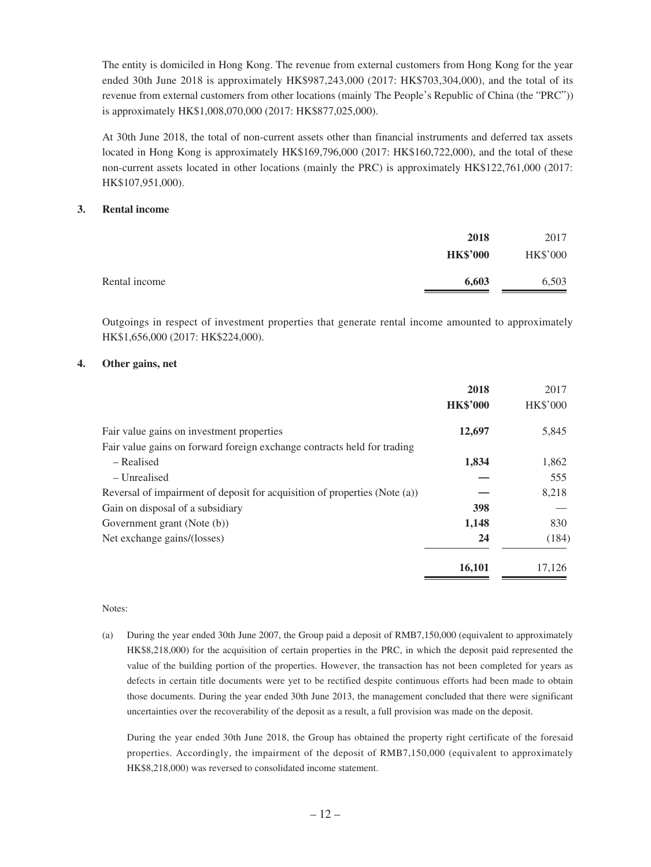The entity is domiciled in Hong Kong. The revenue from external customers from Hong Kong for the year ended 30th June 2018 is approximately HK\$987,243,000 (2017: HK\$703,304,000), and the total of its revenue from external customers from other locations (mainly The People's Republic of China (the "PRC")) is approximately HK\$1,008,070,000 (2017: HK\$877,025,000).

At 30th June 2018, the total of non-current assets other than financial instruments and deferred tax assets located in Hong Kong is approximately HK\$169,796,000 (2017: HK\$160,722,000), and the total of these non-current assets located in other locations (mainly the PRC) is approximately HK\$122,761,000 (2017: HK\$107,951,000).

### **3. Rental income**

|               | 2018            | 2017            |
|---------------|-----------------|-----------------|
|               | <b>HK\$'000</b> | <b>HK\$'000</b> |
| Rental income | 6,603           | 6,503           |

Outgoings in respect of investment properties that generate rental income amounted to approximately HK\$1,656,000 (2017: HK\$224,000).

#### **4. Other gains, net**

|                                                                            | 2018            | 2017            |
|----------------------------------------------------------------------------|-----------------|-----------------|
|                                                                            | <b>HK\$'000</b> | <b>HK\$'000</b> |
| Fair value gains on investment properties                                  | 12,697          | 5,845           |
| Fair value gains on forward foreign exchange contracts held for trading    |                 |                 |
| – Realised                                                                 | 1,834           | 1,862           |
| – Unrealised                                                               |                 | 555             |
| Reversal of impairment of deposit for acquisition of properties (Note (a)) |                 | 8,218           |
| Gain on disposal of a subsidiary                                           | 398             |                 |
| Government grant (Note (b))                                                | 1,148           | 830             |
| Net exchange gains/(losses)                                                | 24              | (184)           |
|                                                                            | 16,101          | 17,126          |
|                                                                            |                 |                 |

#### Notes:

(a) During the year ended 30th June 2007, the Group paid a deposit of RMB7,150,000 (equivalent to approximately HK\$8,218,000) for the acquisition of certain properties in the PRC, in which the deposit paid represented the value of the building portion of the properties. However, the transaction has not been completed for years as defects in certain title documents were yet to be rectified despite continuous efforts had been made to obtain those documents. During the year ended 30th June 2013, the management concluded that there were significant uncertainties over the recoverability of the deposit as a result, a full provision was made on the deposit.

During the year ended 30th June 2018, the Group has obtained the property right certificate of the foresaid properties. Accordingly, the impairment of the deposit of RMB7,150,000 (equivalent to approximately HK\$8,218,000) was reversed to consolidated income statement.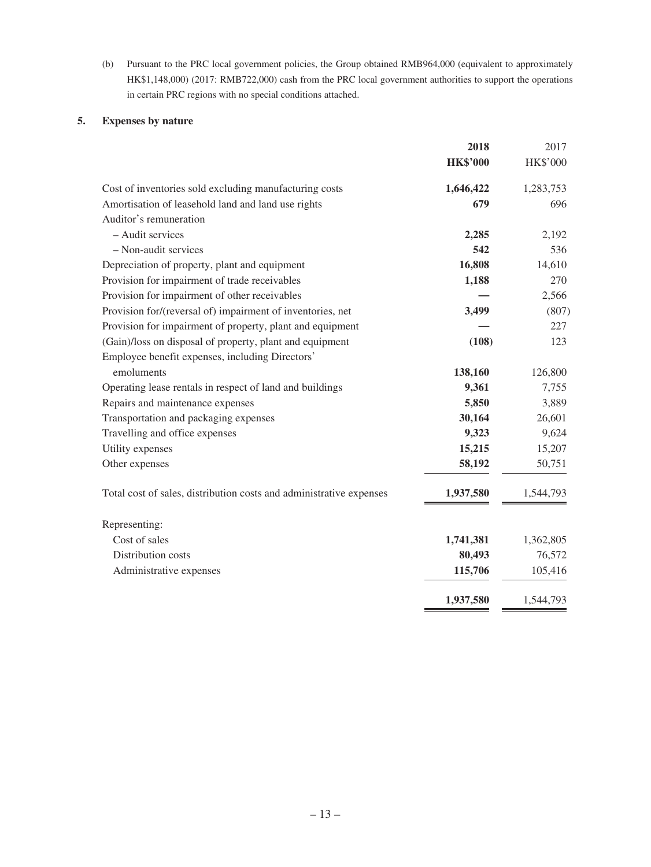(b) Pursuant to the PRC local government policies, the Group obtained RMB964,000 (equivalent to approximately HK\$1,148,000) (2017: RMB722,000) cash from the PRC local government authorities to support the operations in certain PRC regions with no special conditions attached.

### **5. Expenses by nature**

|                                                                     | 2018            | 2017            |
|---------------------------------------------------------------------|-----------------|-----------------|
|                                                                     | <b>HK\$'000</b> | <b>HK\$'000</b> |
| Cost of inventories sold excluding manufacturing costs              | 1,646,422       | 1,283,753       |
| Amortisation of leasehold land and land use rights                  | 679             | 696             |
| Auditor's remuneration                                              |                 |                 |
| - Audit services                                                    | 2,285           | 2,192           |
| - Non-audit services                                                | 542             | 536             |
| Depreciation of property, plant and equipment                       | 16,808          | 14,610          |
| Provision for impairment of trade receivables                       | 1,188           | 270             |
| Provision for impairment of other receivables                       |                 | 2,566           |
| Provision for/(reversal of) impairment of inventories, net          | 3,499           | (807)           |
| Provision for impairment of property, plant and equipment           |                 | 227             |
| (Gain)/loss on disposal of property, plant and equipment            | (108)           | 123             |
| Employee benefit expenses, including Directors'                     |                 |                 |
| emoluments                                                          | 138,160         | 126,800         |
| Operating lease rentals in respect of land and buildings            | 9,361           | 7,755           |
| Repairs and maintenance expenses                                    | 5,850           | 3,889           |
| Transportation and packaging expenses                               | 30,164          | 26,601          |
| Travelling and office expenses                                      | 9,323           | 9,624           |
| Utility expenses                                                    | 15,215          | 15,207          |
| Other expenses                                                      | 58,192          | 50,751          |
| Total cost of sales, distribution costs and administrative expenses | 1,937,580       | 1,544,793       |
| Representing:                                                       |                 |                 |
| Cost of sales                                                       | 1,741,381       | 1,362,805       |
| Distribution costs                                                  | 80,493          | 76,572          |
| Administrative expenses                                             | 115,706         | 105,416         |
|                                                                     | 1,937,580       | 1,544,793       |
|                                                                     |                 |                 |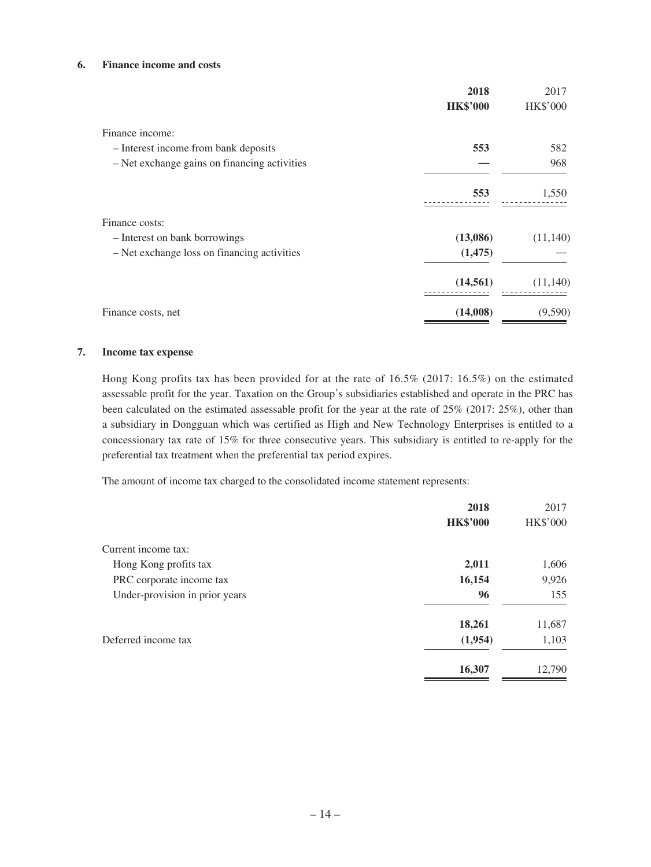#### **6. Finance income and costs**

|                                              | 2018<br><b>HK\$'000</b> | 2017<br><b>HK\$'000</b> |
|----------------------------------------------|-------------------------|-------------------------|
| Finance income:                              |                         |                         |
| - Interest income from bank deposits         | 553                     | 582                     |
| - Net exchange gains on financing activities |                         | 968                     |
|                                              | 553                     | 1,550                   |
| Finance costs:                               |                         |                         |
| - Interest on bank borrowings                | (13,086)                | (11, 140)               |
| - Net exchange loss on financing activities  | (1, 475)                |                         |
|                                              | (14, 561)               | (11, 140)               |
| Finance costs, net                           | (14,008)                | (9,590)                 |

#### **7. Income tax expense**

Hong Kong profits tax has been provided for at the rate of 16.5% (2017: 16.5%) on the estimated assessable profit for the year. Taxation on the Group's subsidiaries established and operate in the PRC has been calculated on the estimated assessable profit for the year at the rate of 25% (2017: 25%), other than a subsidiary in Dongguan which was certified as High and New Technology Enterprises is entitled to a concessionary tax rate of 15% for three consecutive years. This subsidiary is entitled to re-apply for the preferential tax treatment when the preferential tax period expires.

The amount of income tax charged to the consolidated income statement represents:

|                                | 2018            | 2017            |
|--------------------------------|-----------------|-----------------|
|                                | <b>HK\$'000</b> | <b>HK\$'000</b> |
| Current income tax:            |                 |                 |
| Hong Kong profits tax          | 2,011           | 1,606           |
| PRC corporate income tax       | 16,154          | 9,926           |
| Under-provision in prior years | 96              | 155             |
|                                | 18,261          | 11,687          |
| Deferred income tax            | (1,954)         | 1,103           |
|                                | 16,307          | 12,790          |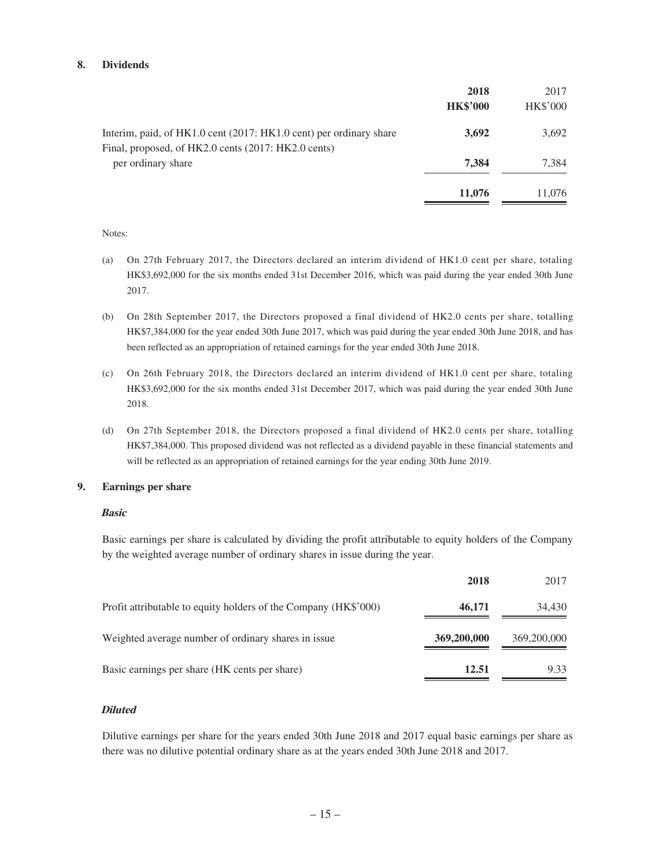### **8. Dividends**

|                                                                                                                           | 2018<br><b>HK\$'000</b> | 2017<br><b>HK\$'000</b> |
|---------------------------------------------------------------------------------------------------------------------------|-------------------------|-------------------------|
| Interim, paid, of HK1.0 cent (2017: HK1.0 cent) per ordinary share<br>Final, proposed, of HK2.0 cents (2017: HK2.0 cents) | 3,692                   | 3,692                   |
| per ordinary share                                                                                                        | 7.384                   | 7,384                   |
|                                                                                                                           | 11,076                  | 11.076                  |

Notes:

- (a) On 27th February 2017, the Directors declared an interim dividend of HK1.0 cent per share, totaling HK\$3,692,000 for the six months ended 31st December 2016, which was paid during the year ended 30th June 2017.
- (b) On 28th September 2017, the Directors proposed a final dividend of HK2.0 cents per share, totalling HK\$7,384,000 for the year ended 30th June 2017, which was paid during the year ended 30th June 2018, and has been reflected as an appropriation of retained earnings for the year ended 30th June 2018.
- (c) On 26th February 2018, the Directors declared an interim dividend of HK1.0 cent per share, totaling HK\$3,692,000 for the six months ended 31st December 2017, which was paid during the year ended 30th June 2018.
- (d) On 27th September 2018, the Directors proposed a final dividend of HK2.0 cents per share, totalling HK\$7,384,000. This proposed dividend was not reflected as a dividend payable in these financial statements and will be reflected as an appropriation of retained earnings for the year ending 30th June 2019.

#### **9. Earnings per share**

#### **Basic**

Basic earnings per share is calculated by dividing the profit attributable to equity holders of the Company by the weighted average number of ordinary shares in issue during the year.

|                                                                 | 2018        | 2017        |
|-----------------------------------------------------------------|-------------|-------------|
| Profit attributable to equity holders of the Company (HK\$'000) | 46,171      | 34,430      |
| Weighted average number of ordinary shares in issue             | 369,200,000 | 369,200,000 |
| Basic earnings per share (HK cents per share)                   | 12.51       | 9.33        |

#### **Diluted**

Dilutive earnings per share for the years ended 30th June 2018 and 2017 equal basic earnings per share as there was no dilutive potential ordinary share as at the years ended 30th June 2018 and 2017.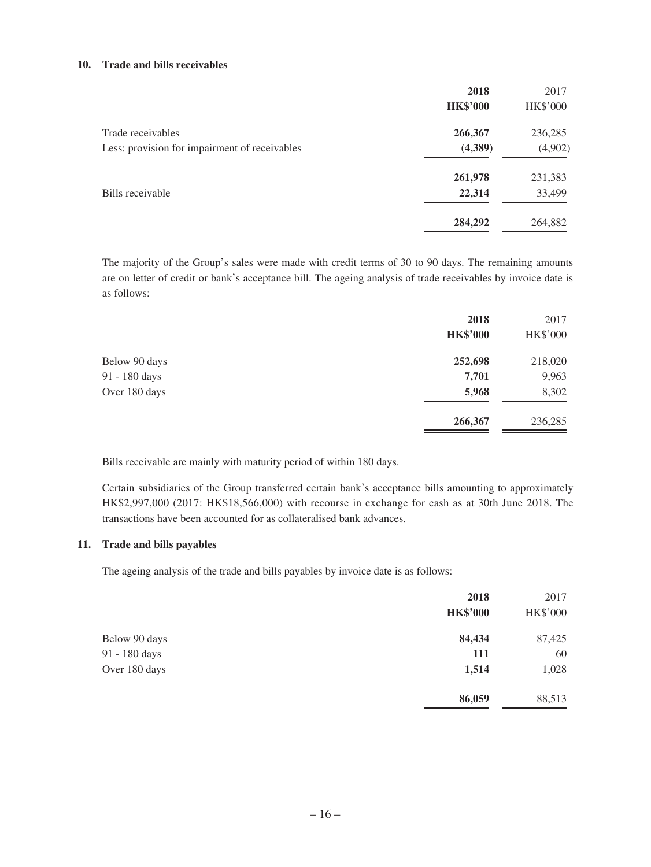### **10. Trade and bills receivables**

|                                               | 2018            | 2017            |
|-----------------------------------------------|-----------------|-----------------|
|                                               | <b>HK\$'000</b> | <b>HK\$'000</b> |
| Trade receivables                             | 266,367         | 236,285         |
| Less: provision for impairment of receivables | (4,389)         | (4,902)         |
|                                               | 261,978         | 231,383         |
| Bills receivable                              | 22,314          | 33,499          |
|                                               | 284,292         | 264,882         |

The majority of the Group's sales were made with credit terms of 30 to 90 days. The remaining amounts are on letter of credit or bank's acceptance bill. The ageing analysis of trade receivables by invoice date is as follows:

|               | 2018<br><b>HK\$'000</b> | 2017<br><b>HK\$'000</b> |
|---------------|-------------------------|-------------------------|
| Below 90 days | 252,698                 | 218,020                 |
| 91 - 180 days | 7,701                   | 9,963                   |
| Over 180 days | 5,968                   | 8,302                   |
|               | 266,367                 | 236,285                 |

Bills receivable are mainly with maturity period of within 180 days.

Certain subsidiaries of the Group transferred certain bank's acceptance bills amounting to approximately HK\$2,997,000 (2017: HK\$18,566,000) with recourse in exchange for cash as at 30th June 2018. The transactions have been accounted for as collateralised bank advances.

### **11. Trade and bills payables**

The ageing analysis of the trade and bills payables by invoice date is as follows:

|               | 2018            | 2017            |
|---------------|-----------------|-----------------|
|               | <b>HK\$'000</b> | <b>HK\$'000</b> |
| Below 90 days | 84,434          | 87,425          |
| 91 - 180 days | <b>111</b>      | 60              |
| Over 180 days | 1,514           | 1,028           |
|               | 86,059          | 88,513          |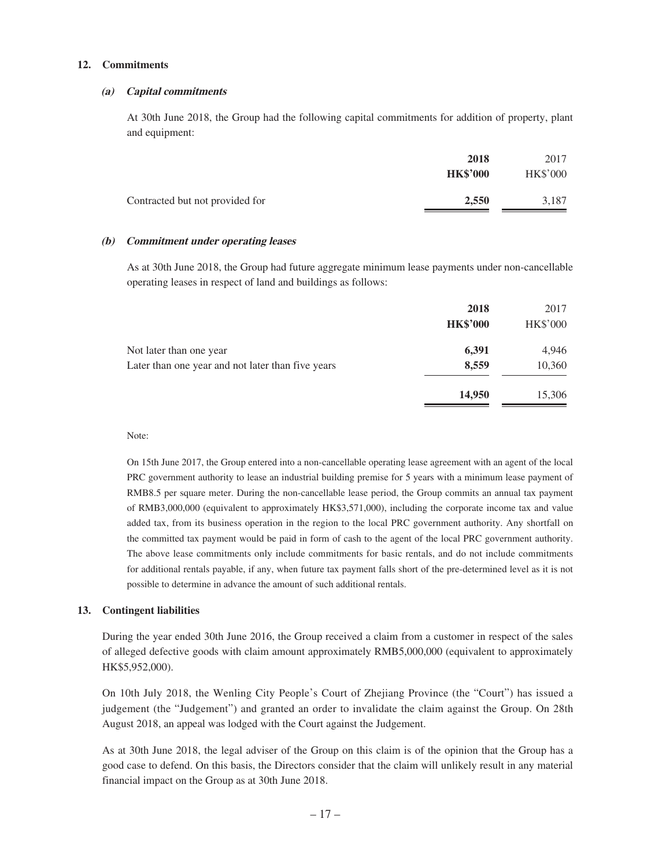#### **12. Commitments**

#### **(a) Capital commitments**

At 30th June 2018, the Group had the following capital commitments for addition of property, plant and equipment:

|                                 | 2018            | 2017            |
|---------------------------------|-----------------|-----------------|
|                                 | <b>HK\$'000</b> | <b>HK\$'000</b> |
| Contracted but not provided for | 2.550           | 3.187           |

#### **(b) Commitment under operating leases**

As at 30th June 2018, the Group had future aggregate minimum lease payments under non-cancellable operating leases in respect of land and buildings as follows:

|                                                   | 2018            | 2017            |
|---------------------------------------------------|-----------------|-----------------|
|                                                   | <b>HK\$'000</b> | <b>HK\$'000</b> |
| Not later than one year                           | 6,391           | 4,946           |
| Later than one year and not later than five years | 8,559           | 10,360          |
|                                                   | 14,950          | 15,306          |

Note:

On 15th June 2017, the Group entered into a non-cancellable operating lease agreement with an agent of the local PRC government authority to lease an industrial building premise for 5 years with a minimum lease payment of RMB8.5 per square meter. During the non-cancellable lease period, the Group commits an annual tax payment of RMB3,000,000 (equivalent to approximately HK\$3,571,000), including the corporate income tax and value added tax, from its business operation in the region to the local PRC government authority. Any shortfall on the committed tax payment would be paid in form of cash to the agent of the local PRC government authority. The above lease commitments only include commitments for basic rentals, and do not include commitments for additional rentals payable, if any, when future tax payment falls short of the pre-determined level as it is not possible to determine in advance the amount of such additional rentals.

#### **13. Contingent liabilities**

During the year ended 30th June 2016, the Group received a claim from a customer in respect of the sales of alleged defective goods with claim amount approximately RMB5,000,000 (equivalent to approximately HK\$5,952,000).

On 10th July 2018, the Wenling City People's Court of Zhejiang Province (the "Court") has issued a judgement (the "Judgement") and granted an order to invalidate the claim against the Group. On 28th August 2018, an appeal was lodged with the Court against the Judgement.

As at 30th June 2018, the legal adviser of the Group on this claim is of the opinion that the Group has a good case to defend. On this basis, the Directors consider that the claim will unlikely result in any material financial impact on the Group as at 30th June 2018.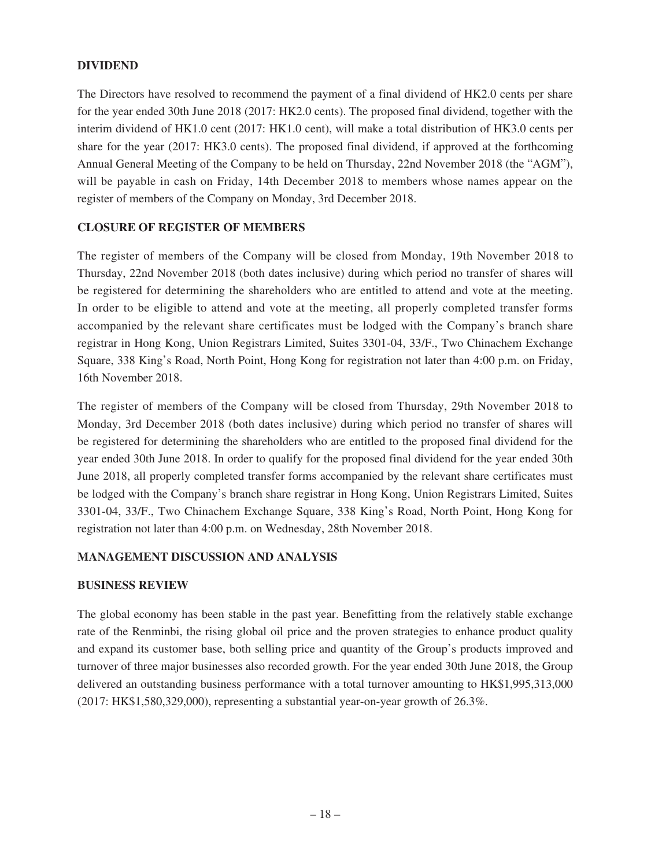### **DIVIDEND**

The Directors have resolved to recommend the payment of a final dividend of HK2.0 cents per share for the year ended 30th June 2018 (2017: HK2.0 cents). The proposed final dividend, together with the interim dividend of HK1.0 cent (2017: HK1.0 cent), will make a total distribution of HK3.0 cents per share for the year (2017: HK3.0 cents). The proposed final dividend, if approved at the forthcoming Annual General Meeting of the Company to be held on Thursday, 22nd November 2018 (the "AGM"), will be payable in cash on Friday, 14th December 2018 to members whose names appear on the register of members of the Company on Monday, 3rd December 2018.

## **CLOSURE OF REGISTER OF MEMBERS**

The register of members of the Company will be closed from Monday, 19th November 2018 to Thursday, 22nd November 2018 (both dates inclusive) during which period no transfer of shares will be registered for determining the shareholders who are entitled to attend and vote at the meeting. In order to be eligible to attend and vote at the meeting, all properly completed transfer forms accompanied by the relevant share certificates must be lodged with the Company's branch share registrar in Hong Kong, Union Registrars Limited, Suites 3301-04, 33/F., Two Chinachem Exchange Square, 338 King's Road, North Point, Hong Kong for registration not later than 4:00 p.m. on Friday, 16th November 2018.

The register of members of the Company will be closed from Thursday, 29th November 2018 to Monday, 3rd December 2018 (both dates inclusive) during which period no transfer of shares will be registered for determining the shareholders who are entitled to the proposed final dividend for the year ended 30th June 2018. In order to qualify for the proposed final dividend for the year ended 30th June 2018, all properly completed transfer forms accompanied by the relevant share certificates must be lodged with the Company's branch share registrar in Hong Kong, Union Registrars Limited, Suites 3301-04, 33/F., Two Chinachem Exchange Square, 338 King's Road, North Point, Hong Kong for registration not later than 4:00 p.m. on Wednesday, 28th November 2018.

### **MANAGEMENT DISCUSSION AND ANALYSIS**

### **BUSINESS REVIEW**

The global economy has been stable in the past year. Benefitting from the relatively stable exchange rate of the Renminbi, the rising global oil price and the proven strategies to enhance product quality and expand its customer base, both selling price and quantity of the Group's products improved and turnover of three major businesses also recorded growth. For the year ended 30th June 2018, the Group delivered an outstanding business performance with a total turnover amounting to HK\$1,995,313,000 (2017: HK\$1,580,329,000), representing a substantial year-on-year growth of 26.3%.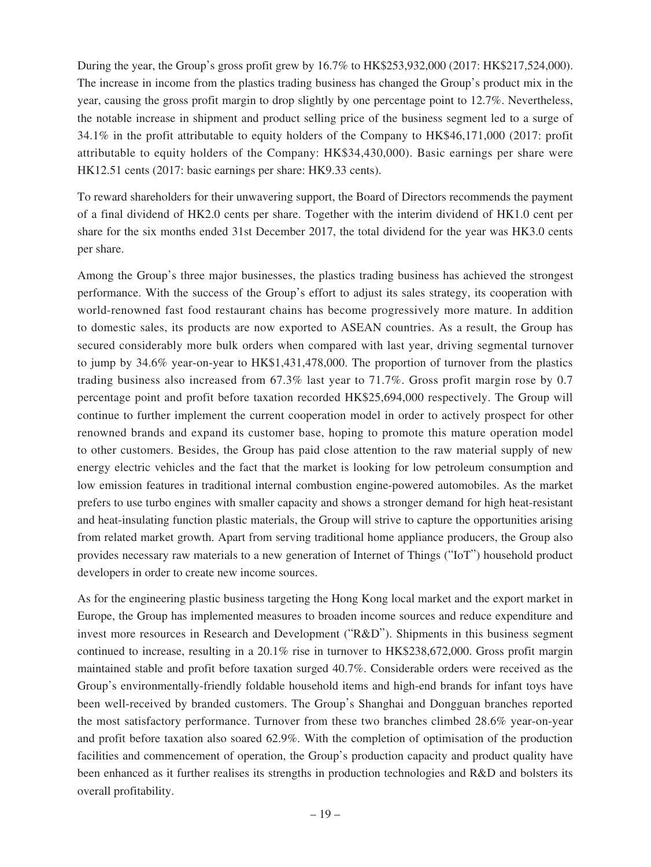During the year, the Group's gross profit grew by 16.7% to HK\$253,932,000 (2017: HK\$217,524,000). The increase in income from the plastics trading business has changed the Group's product mix in the year, causing the gross profit margin to drop slightly by one percentage point to 12.7%. Nevertheless, the notable increase in shipment and product selling price of the business segment led to a surge of 34.1% in the profit attributable to equity holders of the Company to HK\$46,171,000 (2017: profit attributable to equity holders of the Company: HK\$34,430,000). Basic earnings per share were HK12.51 cents (2017: basic earnings per share: HK9.33 cents).

To reward shareholders for their unwavering support, the Board of Directors recommends the payment of a final dividend of HK2.0 cents per share. Together with the interim dividend of HK1.0 cent per share for the six months ended 31st December 2017, the total dividend for the year was HK3.0 cents per share.

Among the Group's three major businesses, the plastics trading business has achieved the strongest performance. With the success of the Group's effort to adjust its sales strategy, its cooperation with world-renowned fast food restaurant chains has become progressively more mature. In addition to domestic sales, its products are now exported to ASEAN countries. As a result, the Group has secured considerably more bulk orders when compared with last year, driving segmental turnover to jump by 34.6% year-on-year to HK\$1,431,478,000. The proportion of turnover from the plastics trading business also increased from 67.3% last year to 71.7%. Gross profit margin rose by 0.7 percentage point and profit before taxation recorded HK\$25,694,000 respectively. The Group will continue to further implement the current cooperation model in order to actively prospect for other renowned brands and expand its customer base, hoping to promote this mature operation model to other customers. Besides, the Group has paid close attention to the raw material supply of new energy electric vehicles and the fact that the market is looking for low petroleum consumption and low emission features in traditional internal combustion engine-powered automobiles. As the market prefers to use turbo engines with smaller capacity and shows a stronger demand for high heat-resistant and heat-insulating function plastic materials, the Group will strive to capture the opportunities arising from related market growth. Apart from serving traditional home appliance producers, the Group also provides necessary raw materials to a new generation of Internet of Things ("IoT") household product developers in order to create new income sources.

As for the engineering plastic business targeting the Hong Kong local market and the export market in Europe, the Group has implemented measures to broaden income sources and reduce expenditure and invest more resources in Research and Development ("R&D"). Shipments in this business segment continued to increase, resulting in a 20.1% rise in turnover to HK\$238,672,000. Gross profit margin maintained stable and profit before taxation surged 40.7%. Considerable orders were received as the Group's environmentally-friendly foldable household items and high-end brands for infant toys have been well-received by branded customers. The Group's Shanghai and Dongguan branches reported the most satisfactory performance. Turnover from these two branches climbed 28.6% year-on-year and profit before taxation also soared 62.9%. With the completion of optimisation of the production facilities and commencement of operation, the Group's production capacity and product quality have been enhanced as it further realises its strengths in production technologies and R&D and bolsters its overall profitability.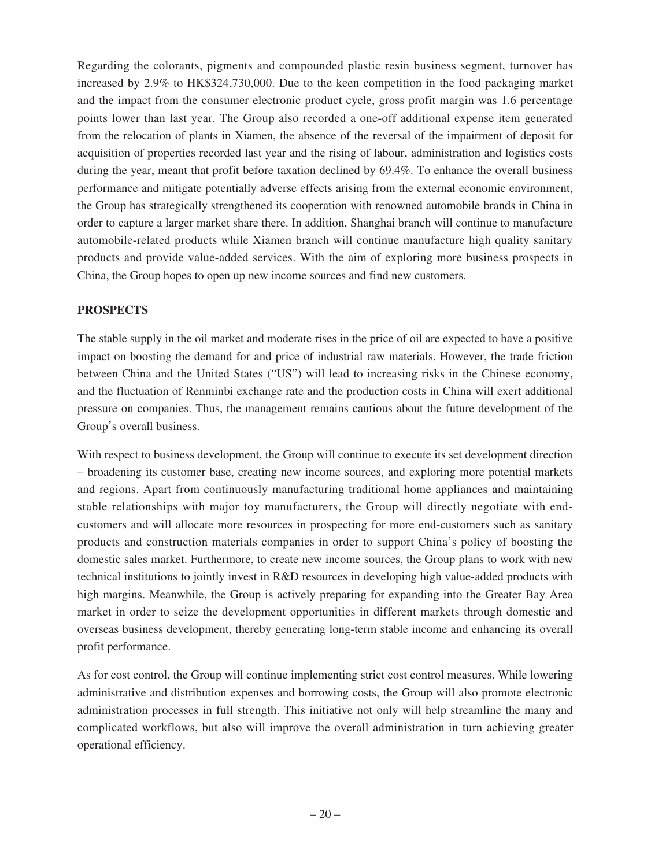Regarding the colorants, pigments and compounded plastic resin business segment, turnover has increased by 2.9% to HK\$324,730,000. Due to the keen competition in the food packaging market and the impact from the consumer electronic product cycle, gross profit margin was 1.6 percentage points lower than last year. The Group also recorded a one-off additional expense item generated from the relocation of plants in Xiamen, the absence of the reversal of the impairment of deposit for acquisition of properties recorded last year and the rising of labour, administration and logistics costs during the year, meant that profit before taxation declined by 69.4%. To enhance the overall business performance and mitigate potentially adverse effects arising from the external economic environment, the Group has strategically strengthened its cooperation with renowned automobile brands in China in order to capture a larger market share there. In addition, Shanghai branch will continue to manufacture automobile-related products while Xiamen branch will continue manufacture high quality sanitary products and provide value-added services. With the aim of exploring more business prospects in China, the Group hopes to open up new income sources and find new customers.

## **PROSPECTS**

The stable supply in the oil market and moderate rises in the price of oil are expected to have a positive impact on boosting the demand for and price of industrial raw materials. However, the trade friction between China and the United States ("US") will lead to increasing risks in the Chinese economy, and the fluctuation of Renminbi exchange rate and the production costs in China will exert additional pressure on companies. Thus, the management remains cautious about the future development of the Group's overall business.

With respect to business development, the Group will continue to execute its set development direction – broadening its customer base, creating new income sources, and exploring more potential markets and regions. Apart from continuously manufacturing traditional home appliances and maintaining stable relationships with major toy manufacturers, the Group will directly negotiate with endcustomers and will allocate more resources in prospecting for more end-customers such as sanitary products and construction materials companies in order to support China's policy of boosting the domestic sales market. Furthermore, to create new income sources, the Group plans to work with new technical institutions to jointly invest in R&D resources in developing high value-added products with high margins. Meanwhile, the Group is actively preparing for expanding into the Greater Bay Area market in order to seize the development opportunities in different markets through domestic and overseas business development, thereby generating long-term stable income and enhancing its overall profit performance.

As for cost control, the Group will continue implementing strict cost control measures. While lowering administrative and distribution expenses and borrowing costs, the Group will also promote electronic administration processes in full strength. This initiative not only will help streamline the many and complicated workflows, but also will improve the overall administration in turn achieving greater operational efficiency.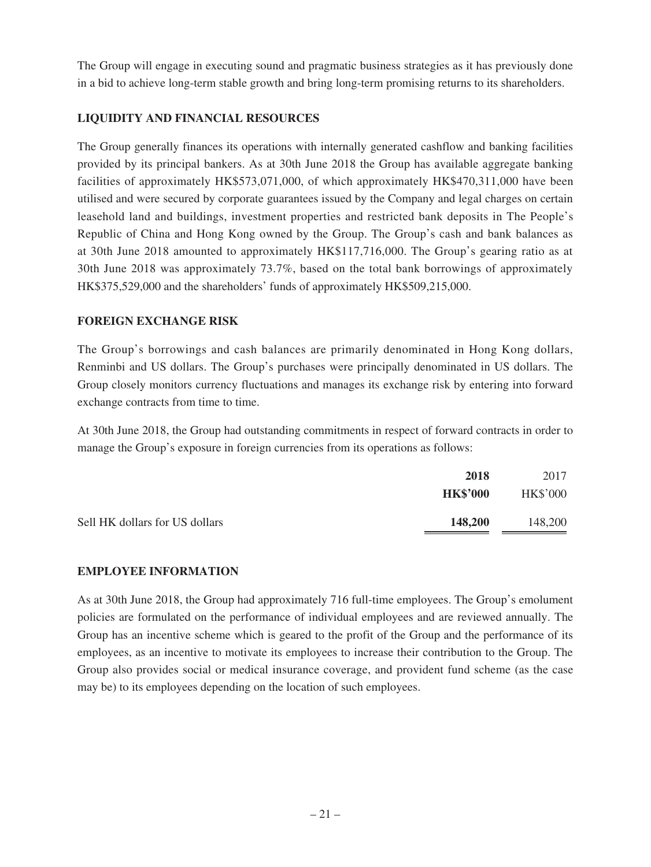The Group will engage in executing sound and pragmatic business strategies as it has previously done in a bid to achieve long-term stable growth and bring long-term promising returns to its shareholders.

# **LIQUIDITY AND FINANCIAL RESOURCES**

The Group generally finances its operations with internally generated cashflow and banking facilities provided by its principal bankers. As at 30th June 2018 the Group has available aggregate banking facilities of approximately HK\$573,071,000, of which approximately HK\$470,311,000 have been utilised and were secured by corporate guarantees issued by the Company and legal charges on certain leasehold land and buildings, investment properties and restricted bank deposits in The People's Republic of China and Hong Kong owned by the Group. The Group's cash and bank balances as at 30th June 2018 amounted to approximately HK\$117,716,000. The Group's gearing ratio as at 30th June 2018 was approximately 73.7%, based on the total bank borrowings of approximately HK\$375,529,000 and the shareholders' funds of approximately HK\$509,215,000.

### **FOREIGN EXCHANGE RISK**

The Group's borrowings and cash balances are primarily denominated in Hong Kong dollars, Renminbi and US dollars. The Group's purchases were principally denominated in US dollars. The Group closely monitors currency fluctuations and manages its exchange risk by entering into forward exchange contracts from time to time.

At 30th June 2018, the Group had outstanding commitments in respect of forward contracts in order to manage the Group's exposure in foreign currencies from its operations as follows:

|                                | 2018    | 2017            |
|--------------------------------|---------|-----------------|
| <b>HK\$'000</b>                |         | <b>HK\$'000</b> |
| Sell HK dollars for US dollars | 148,200 | 148,200         |

### **EMPLOYEE INFORMATION**

As at 30th June 2018, the Group had approximately 716 full-time employees. The Group's emolument policies are formulated on the performance of individual employees and are reviewed annually. The Group has an incentive scheme which is geared to the profit of the Group and the performance of its employees, as an incentive to motivate its employees to increase their contribution to the Group. The Group also provides social or medical insurance coverage, and provident fund scheme (as the case may be) to its employees depending on the location of such employees.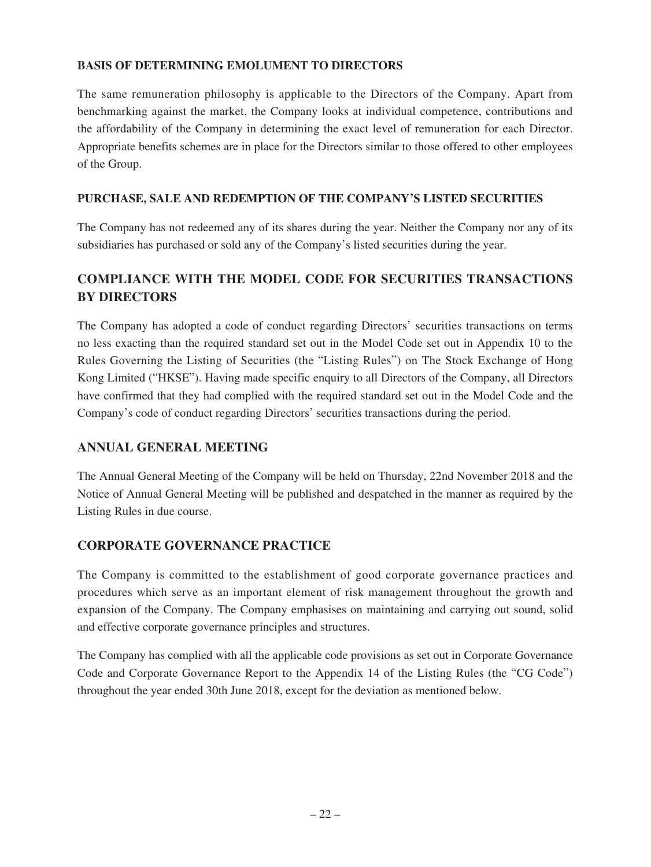# **BASIS OF DETERMINING EMOLUMENT TO DIRECTORS**

The same remuneration philosophy is applicable to the Directors of the Company. Apart from benchmarking against the market, the Company looks at individual competence, contributions and the affordability of the Company in determining the exact level of remuneration for each Director. Appropriate benefits schemes are in place for the Directors similar to those offered to other employees of the Group.

# **PURCHASE, SALE AND REDEMPTION OF THE COMPANY'S LISTED SECURITIES**

The Company has not redeemed any of its shares during the year. Neither the Company nor any of its subsidiaries has purchased or sold any of the Company's listed securities during the year.

# **COMPLIANCE WITH THE MODEL CODE FOR SECURITIES TRANSACTIONS BY DIRECTORS**

The Company has adopted a code of conduct regarding Directors' securities transactions on terms no less exacting than the required standard set out in the Model Code set out in Appendix 10 to the Rules Governing the Listing of Securities (the "Listing Rules") on The Stock Exchange of Hong Kong Limited ("HKSE"). Having made specific enquiry to all Directors of the Company, all Directors have confirmed that they had complied with the required standard set out in the Model Code and the Company's code of conduct regarding Directors' securities transactions during the period.

# **ANNUAL GENERAL MEETING**

The Annual General Meeting of the Company will be held on Thursday, 22nd November 2018 and the Notice of Annual General Meeting will be published and despatched in the manner as required by the Listing Rules in due course.

# **CORPORATE GOVERNANCE PRACTICE**

The Company is committed to the establishment of good corporate governance practices and procedures which serve as an important element of risk management throughout the growth and expansion of the Company. The Company emphasises on maintaining and carrying out sound, solid and effective corporate governance principles and structures.

The Company has complied with all the applicable code provisions as set out in Corporate Governance Code and Corporate Governance Report to the Appendix 14 of the Listing Rules (the "CG Code") throughout the year ended 30th June 2018, except for the deviation as mentioned below.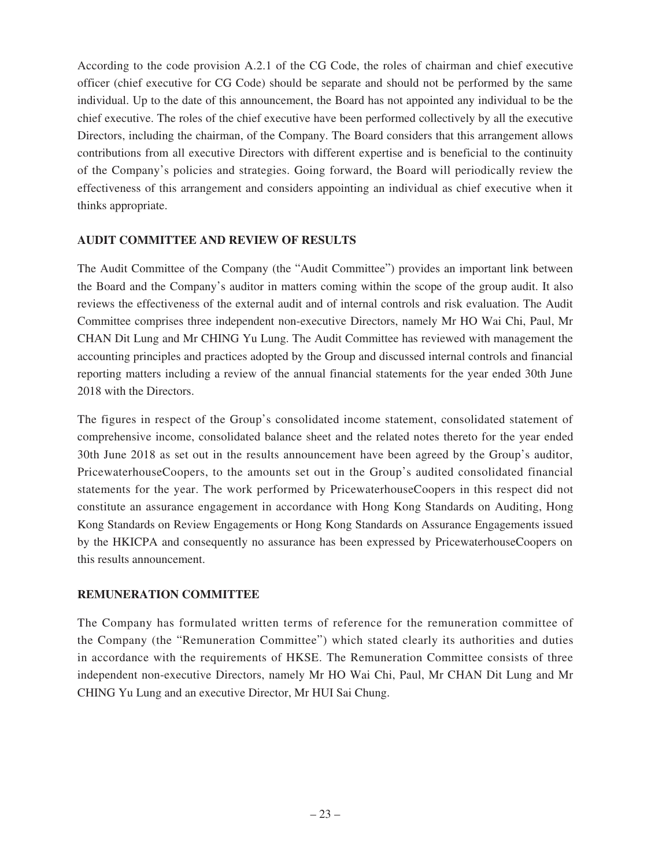According to the code provision A.2.1 of the CG Code, the roles of chairman and chief executive officer (chief executive for CG Code) should be separate and should not be performed by the same individual. Up to the date of this announcement, the Board has not appointed any individual to be the chief executive. The roles of the chief executive have been performed collectively by all the executive Directors, including the chairman, of the Company. The Board considers that this arrangement allows contributions from all executive Directors with different expertise and is beneficial to the continuity of the Company's policies and strategies. Going forward, the Board will periodically review the effectiveness of this arrangement and considers appointing an individual as chief executive when it thinks appropriate.

### **AUDIT COMMITTEE AND REVIEW OF RESULTS**

The Audit Committee of the Company (the "Audit Committee") provides an important link between the Board and the Company's auditor in matters coming within the scope of the group audit. It also reviews the effectiveness of the external audit and of internal controls and risk evaluation. The Audit Committee comprises three independent non-executive Directors, namely Mr HO Wai Chi, Paul, Mr CHAN Dit Lung and Mr CHING Yu Lung. The Audit Committee has reviewed with management the accounting principles and practices adopted by the Group and discussed internal controls and financial reporting matters including a review of the annual financial statements for the year ended 30th June 2018 with the Directors.

The figures in respect of the Group's consolidated income statement, consolidated statement of comprehensive income, consolidated balance sheet and the related notes thereto for the year ended 30th June 2018 as set out in the results announcement have been agreed by the Group's auditor, PricewaterhouseCoopers, to the amounts set out in the Group's audited consolidated financial statements for the year. The work performed by PricewaterhouseCoopers in this respect did not constitute an assurance engagement in accordance with Hong Kong Standards on Auditing, Hong Kong Standards on Review Engagements or Hong Kong Standards on Assurance Engagements issued by the HKICPA and consequently no assurance has been expressed by PricewaterhouseCoopers on this results announcement.

### **REMUNERATION COMMITTEE**

The Company has formulated written terms of reference for the remuneration committee of the Company (the "Remuneration Committee") which stated clearly its authorities and duties in accordance with the requirements of HKSE. The Remuneration Committee consists of three independent non-executive Directors, namely Mr HO Wai Chi, Paul, Mr CHAN Dit Lung and Mr CHING Yu Lung and an executive Director, Mr HUI Sai Chung.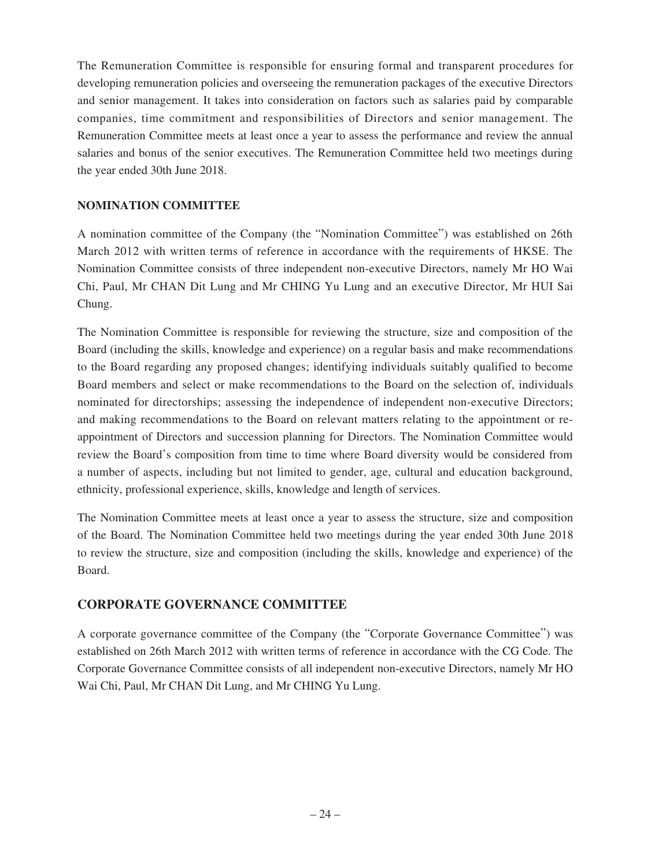The Remuneration Committee is responsible for ensuring formal and transparent procedures for developing remuneration policies and overseeing the remuneration packages of the executive Directors and senior management. It takes into consideration on factors such as salaries paid by comparable companies, time commitment and responsibilities of Directors and senior management. The Remuneration Committee meets at least once a year to assess the performance and review the annual salaries and bonus of the senior executives. The Remuneration Committee held two meetings during the year ended 30th June 2018.

## **NOMINATION COMMITTEE**

A nomination committee of the Company (the "Nomination Committee") was established on 26th March 2012 with written terms of reference in accordance with the requirements of HKSE. The Nomination Committee consists of three independent non-executive Directors, namely Mr HO Wai Chi, Paul, Mr CHAN Dit Lung and Mr CHING Yu Lung and an executive Director, Mr HUI Sai Chung.

The Nomination Committee is responsible for reviewing the structure, size and composition of the Board (including the skills, knowledge and experience) on a regular basis and make recommendations to the Board regarding any proposed changes; identifying individuals suitably qualified to become Board members and select or make recommendations to the Board on the selection of, individuals nominated for directorships; assessing the independence of independent non-executive Directors; and making recommendations to the Board on relevant matters relating to the appointment or reappointment of Directors and succession planning for Directors. The Nomination Committee would review the Board's composition from time to time where Board diversity would be considered from a number of aspects, including but not limited to gender, age, cultural and education background, ethnicity, professional experience, skills, knowledge and length of services.

The Nomination Committee meets at least once a year to assess the structure, size and composition of the Board. The Nomination Committee held two meetings during the year ended 30th June 2018 to review the structure, size and composition (including the skills, knowledge and experience) of the Board.

# **CORPORATE GOVERNANCE COMMITTEE**

A corporate governance committee of the Company (the "Corporate Governance Committee") was established on 26th March 2012 with written terms of reference in accordance with the CG Code. The Corporate Governance Committee consists of all independent non-executive Directors, namely Mr HO Wai Chi, Paul, Mr CHAN Dit Lung, and Mr CHING Yu Lung.